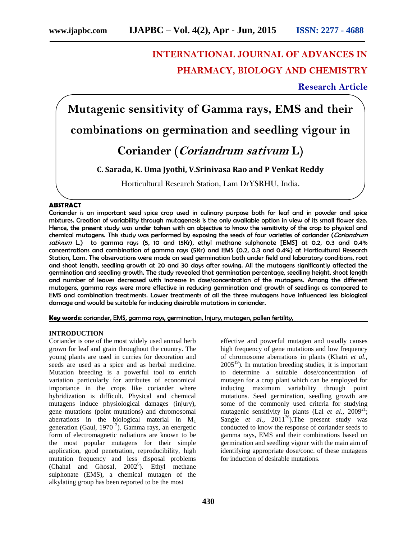# **INTERNATIONAL JOURNAL OF ADVANCES IN PHARMACY, BIOLOGY AND CHEMISTRY**

## **Research Article**

**Mutagenic sensitivity of Gamma rays, EMS and their combinations on germination and seedling vigour in Coriander (***Coriandrum sativum* **L)**

## **C. Sarada, K. Uma Jyothi, V.Srinivasa Rao and P Venkat Reddy**

Horticultural Research Station, Lam DrYSRHU, India.

#### **ABSTRACT**

Coriander is an important seed spice crop used in culinary purpose both for leaf and in powder and spice mixtures. Creation of variability through mutagenesis is the only available option in view of its small flower size. Hence, the present study was under taken with an objective to know the sensitivity of the crop to physical and chemical mutagens. This study was performed by exposing the seeds of four varieties of coriander (*Coriandrum sativum* L.) to gamma rays (5, 10 and 15Kr), ethyl methane sulphonate [EMS] at 0.2, 0.3 and 0.4% concentrations and combination of gamma rays (5Kr) and EMS (0.2, 0.3 and 0.4%) at Horticultural Research Station, Lam. The observations were made on seed germination both under field and laboratory conditions, root and shoot length, seedling growth at 20 and 30 days after sowing. All the mutagens significantly affected the germination and seedling growth. The study revealed that germination percentage, seedling height, shoot length and number of leaves decreased with increase in dose/concentration of the mutagens. Among the different mutagens, gamma rays were more effective in reducing germination and growth of seedlings as compared to EMS and combination treatments. Lower treatments of all the three mutagens have influenced less biological damage and would be suitable for inducing desirable mutations in coriander.

**Key words:** coriander, EMS, gamma rays, germination, Injury, mutagen, pollen fertility,

#### **INTRODUCTION**

Coriander is one of the most widely used annual herb grown for leaf and grain throughout the country. The young plants are used in curries for decoration and seeds are used as a spice and as herbal medicine. Mutation breeding is a powerful tool to enrich variation particularly for attributes of economical importance in the crops like coriander where hybridization is difficult. Physical and chemical mutagens induce physiological damages (injury), gene mutations (point mutations) and chromosomal aberrations in the biological material in  $M_1$ generation (Gaul,  $1970^{12}$ ). Gamma rays, an energetic form of electromagnetic radiations are known to be the most popular mutagens for their simple application, good penetration, reproducibility, high mutation frequency and less disposal problems (Chahal and Ghosal,  $2002^6$ ). Ethyl methane sulphonate (EMS), a chemical mutagen of the alkylating group has been reported to be the most

effective and powerful mutagen and usually causes high frequency of gene mutations and low frequency of chromosome aberrations in plants (Khatri *et al.,*  $2005<sup>19</sup>$ ). In mutation breeding studies, it is important to determine a suitable dose/concentration of mutagen for a crop plant which can be employed for inducing maximum variability through point mutations. Seed germination, seedling growth are some of the commonly used criteria for studying mutagenic sensitivity in plants (Lal *et al.*,  $2009^{21}$ ; Sangle *et al.*,  $2011^{26}$ . The present study was conducted to know the response of coriander seeds to gamma rays, EMS and their combinations based on germination and seedling vigour with the main aim of identifying appropriate dose/conc. of these mutagens for induction of desirable mutations.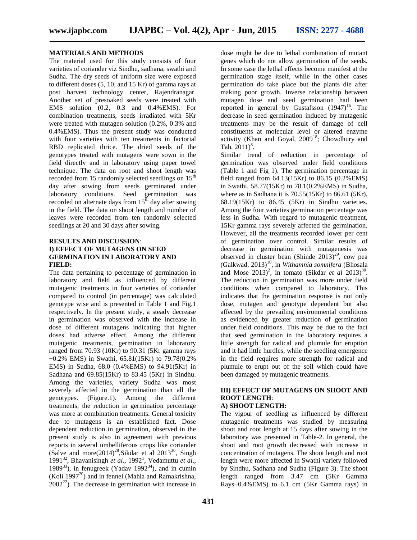#### **MATERIALS AND METHODS**

The material used for this study consists of four varieties of coriander viz Sindhu, sadhana, swathi and Sudha. The dry seeds of uniform size were exposed to different doses (5, 10, and 15 Kr) of gamma rays at post harvest technology center, Rajendranagar. Another set of presoaked seeds were treated with EMS solution (0.2, 0.3 and 0.4%EMS). For combination treatments, seeds irradiated with 5Kr were treated with mutagen solution (0.2%, 0.3% and 0.4%EMS). Thus the present study was conducted with four varieties with ten treatments in factorial RBD replicated thrice. The dried seeds of the genotypes treated with mutagens were sown in the field directly and in laboratory using paper towel technique. The data on root and shoot length was recorded from 15 randomly selected seedlings on  $15<sup>th</sup>$ day after sowing from seeds germinated under laboratory conditions. Seed germination was recorded on alternate days from  $15<sup>th</sup>$  day after sowing in the field. The data on shoot length and number of leaves were recorded from ten randomly selected seedlings at 20 and 30 days after sowing.

## **RESULTS AND DISCUSSION**: **I) EFFECT OF MUTAGENS ON SEED GERMINATION IN LABORATORY AND FIELD:**

The data pertaining to percentage of germination in laboratory and field as influenced by different mutagenic treatments in four varieties of coriander compared to control (in percentage) was calculated genotype wise and is presented in Table 1 and Fig.1 respectively. In the present study, a steady decrease in germination was observed with the increase in dose of different mutagens indicating that higher doses had adverse effect. Among the different mutagenic treatments, germination in laboratory ranged from 70.93 (10Kr) to 90.31 (5Kr gamma rays +0.2% EMS) in Swathi, 65.81(15Kr) to 79.78(0.2% EMS) in Sudha, 68.0 (0.4%EMS) to 94.91(5Kr) in Sadhana and 69.85(15Kr) to 83.45 (5Kr) in Sindhu. Among the varieties, variety Sudha was most severely affected in the germination than all the genotypes. (Figure.1). Among the different treatments, the reduction in germination percentage was more at combination treatments. General toxicity due to mutagens is an established fact. Dose dependent reduction in germination, observed in the present study is also in agreement with previous reports in several umbelliferous crops like coriander (Salve and more $(2014)^{28}$ , Sikdar et al  $2013^{30}$ , Singh 1991<sup>32</sup>, Bhavanisingh *et al.*, 1992<sup>1</sup>, Vedamuttu *et al.*, 1989<sup>33</sup>), in fenugreek (Yadav 1992<sup>34</sup>), and in cumin (Koli 1997 $^{20}$ ) and in fennel (Mahla and Ramakrishna,  $2002^{22}$ ). The decrease in germination with increase in

dose might be due to lethal combination of mutant genes which do not allow germination of the seeds. In some case the lethal effects become manifest at the germination stage itself, while in the other cases germination do take place but the plants die after making poor growth. Inverse relationship between mutagen dose and seed germination had been reported in general by Gustafsson  $(1947)^{16}$ . The decrease in seed germination induced by mutagenic treatments may be the result of damage of cell constituents at molecular level or altered enzyme activity (Khan and Goyal, 2009<sup>18</sup>; Chowdhury and Tah,  $2011)^8$ .

Similar trend of reduction in percentage of germination was observed under field conditions (Table 1 and Fig 1). The germination percentage in field ranged from 64.13(15Kr) to 86.15 (0.2%EMS) in Swathi, 58.77(15Kr) to 78.1(0.2%EMS) in Sudha, where as in Sadhana it is  $70.55(15Kr)$  to 86.61 (5Kr), 68.19(15Kr) to 86.45 (5Kr) in Sindhu varieties. Among the four varieties germination percentage was less in Sudha. With regard to mutagenic treatment, 15Kr gamma rays severely affected the germination. However, all the treatments recorded lower per cent of germination over control. Similar results of decrease in germination with mutagenesis was observed in cluster bean (Shinde  $2013)^{29}$ , cow pea (Galkwad, 2013)<sup>10</sup>, in *Withamnia somnifera* (Bhosala and Mose  $2013)^2$ , in tomato (Sikdar *et al*  $2013)^{30}$ . The reduction in germination was more under field conditions when compared to laboratory. This indicates that the germination response is not only dose, mutagen and genotype dependent but also affected by the prevailing environmental conditions as evidenced by greater reduction of germination under field conditions. This may be due to the fact that seed germination in the laboratory requires a little strength for radical and plumule for eruption and it had little hurdles, while the seedling emergence in the field requires more strength for radical and plumule to erupt out of the soil which could have been damaged by mutagenic treatments.

## **III) EFFECT OF MUTAGENS ON SHOOT AND ROOT LENGTH**:

## **A) SHOOT LENGTH:**

The vigour of seedling as influenced by different mutagenic treatments was studied by measuring shoot and root length at 15 days after sowing in the laboratory was presented in Table-2. In general, the shoot and root growth decreased with increase in concentration of mutagens. The shoot length and root length were more affected in Swathi variety followed by Sindhu, Sadhana and Sudha (Figure 3). The shoot length ranged from 3.47 cm (5Kr Gamma Rays+0.4%EMS) to 6.1 cm (5Kr Gamma rays) in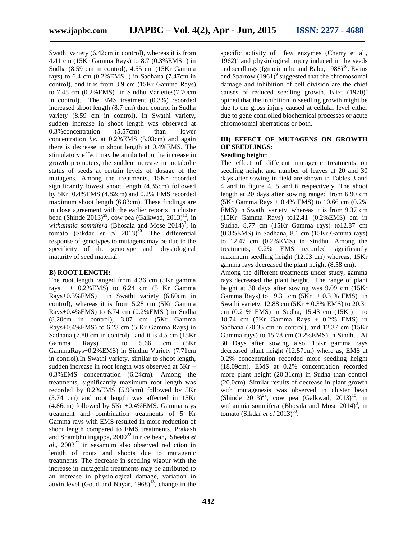Swathi variety (6.42cm in control), whereas it is from 4.41 cm (15Kr Gamma Rays) to 8.7 (0.3%EMS ) in Sudha (8.59 cm in control), 4.55 cm (15Kr Gamma rays) to 6.4 cm (0.2%EMS ) in Sadhana (7.47cm in control), and it is from 3.9 cm (15Kr Gamma Rays) to 7.45 cm (0.2%EMS) in Sindhu Varieties(7.70cm in control). The EMS treatment (0.3%) recorded increased shoot length (8.7 cm) than control in Sudha variety (8.59 cm in control). In Swathi variety, sudden increase in shoot length was observed at 0.3%concentration (5.57cm) than lower concentration *i.e*. at 0.2%EMS (5.03cm) and again there is decrease in shoot length at 0.4%EMS. The stimulatory effect may be attributed to the increase in growth promoters, the sudden increase in metabolic status of seeds at certain levels of dosage of the mutagens. Among the treatments, 15Kr recorded significantly lowest shoot length (4.35cm) followed by 5Kr+0.4%EMS (4.82cm) and 0.2% EMS recorded maximum shoot length (6.83cm). These findings are in close agreement with the earlier reports in cluster bean (Shinde 2013)<sup>29</sup>, cow pea (Galkwad, 2013)<sup>10</sup>, in withamnia somnifera (Bhosala and Mose  $2014$ )<sup>3</sup>, in tomato (Sikdar *et al* 2013)<sup>30</sup>. The differential response of genotypes to mutagens may be due to the specificity of the genotype and physiological maturity of seed material.

#### **B) ROOT LENGTH:**

The root length ranged from 4.36 cm (5Kr gamma rays + 0.2%EMS) to 6.24 cm (5 Kr Gamma Rays+0.3%EMS) in Swathi variety (6.60cm in control), whereas it is from 5.28 cm (5Kr Gamma Rays+0.4%EMS) to 6.74 cm (0.2%EMS ) in Sudha (8.20cm in control), 3.87 cm (5Kr Gamma Rays+0.4%EMS) to 6.23 cm (5 Kr Gamma Rays) in Sadhana (7.80 cm in control), and it is 4.5 cm (15Kr Gamma Rays) to 5.66 cm (5Kr GammaRays+0.2%EMS) in Sindhu Variety (7.71cm in control).In Swathi variety, similar to shoot length, sudden increase in root length was observed at 5Kr + 0.3%EMS concentration (6.24cm). Among the treatments, significantly maximum root length was recorded by 0.2%EMS (5.93cm) followed by 5Kr (5.74 cm) and root length was affected in 15Kr (4.86cm) followed by 5Kr +0.4%EMS. Gamma rays treatment and combination treatments of 5 Kr Gamma rays with EMS resulted in more reduction of shoot length compared to EMS treatments. Prakash and Shambhulingappa, 2000<sup>22</sup> in rice bean, Sheeba *et al.*, 2003<sup>27</sup> in sesamum also observed reduction in length of roots and shoots due to mutagenic treatments. The decrease in seedling vigour with the increase in mutagenic treatments may be attributed to an increase in physiological damage, variation in auxin level (Goud and Nayar,  $1968$ )<sup>13</sup>, change in the

specific activity of few enzymes (Cherry et al.,  $1962$ <sup>7</sup> and physiological injury induced in the seeds and seedlings (Ignacimuthu and Babu,  $1988$ )<sup>16</sup>. Evans and Sparrow  $(1961)^9$  suggested that the chromosomal damage and inhibition of cell division are the chief causes of reduced seedling growth. Blixt  $(1970)^4$ opined that the inhibition in seedling growth might be due to the gross injury caused at cellular level either due to gene controlled biochemical processes or acute chromosomal aberrations or both.

## **III) EFFECT OF MUTAGENS ON GROWTH OF SEEDLINGS**:

#### **Seedling height:**

The effect of different mutagenic treatments on seedling height and number of leaves at 20 and 30 days after sowing in field are shown in Tables 3 and 4 and in figure 4, 5 and 6 respectively. The shoot length at 20 days after sowing ranged from 6.90 cm  $(5Kr \text{ Gamma} \text{ Rays} + 0.4\% \text{ EMS})$  to 10.66 cm  $(0.2\%$ EMS) in Swathi variety, whereas it is from 9.37 cm (15Kr Gamma Rays) to12.41 (0.2%EMS) cm in Sudha, 8.77 cm (15Kr Gamma rays) to12.87 cm (0.3%EMS) in Sadhana, 8.1 cm (15Kr Gamma rays) to 12.47 cm (0.2%EMS) in Sindhu. Among the treatments, 0.2% EMS recorded significantly maximum seedling height (12.03 cm) whereas; 15Kr gamma rays decreased the plant height (8.58 cm). Among the different treatments under study, gamma rays decreased the plant height. The range of plant height at 30 days after sowing was 9.09 cm (15Kr Gamma Rays) to 19.31 cm  $(5Kr + 0.3 %$  EMS) in Swathi variety,  $12.88 \text{ cm} (5 \text{Kr} + 0.3\% \text{ EMS})$  to  $20.31$ cm (0.2 % EMS) in Sudha, 15.43 cm (15Kr) to 18.74 cm (5Kr Gamma Rays + 0.2% EMS) in Sadhana (20.35 cm in control), and 12.37 cm (15Kr Gamma rays) to 15.78 cm (0.2%EMS) in Sindhu. At 30 Days after sowing also, 15Kr gamma rays decreased plant height (12.57cm) where as, EMS at 0.2% concentration recorded more seedling height (18.09cm). EMS at 0.2% concentration recorded more plant height (20.31cm) in Sudha than control (20.0cm). Similar results of decrease in plant growth with mutagenesis was observed in cluster bean (Shinde  $2013^{29}$ , cow pea (Galkwad,  $2013^{10}$ , in withamnia somnifera (Bhosala and Mose  $2014$ )<sup>3</sup>, in

tomato (Sikdar *et al* 2013)<sup>30</sup>.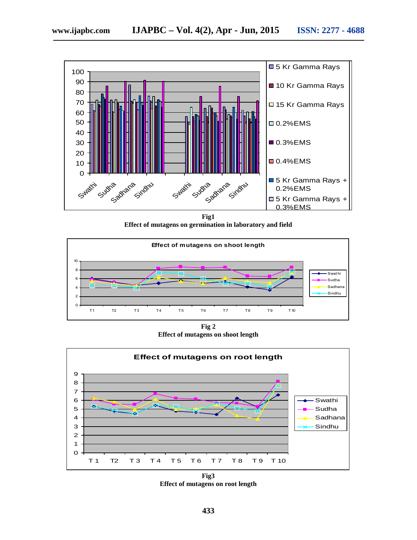

Effect of mutagens on germination in laboratory and field **Fig1**



**Fig 2 Effect of mutagens on shoot length**



**Fig3 Effect of mutagens on root length**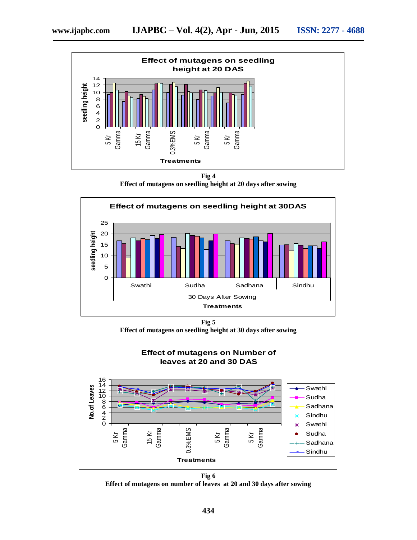

**Fig 4**

**Effect of mutagens on seedling height at 20 days after sowing**



**Fig 5 Effect of mutagens on seedling height at 30 days after sowing**



**Fig 6 Effect of mutagens on number of leaves at 20 and 30 days after sowing**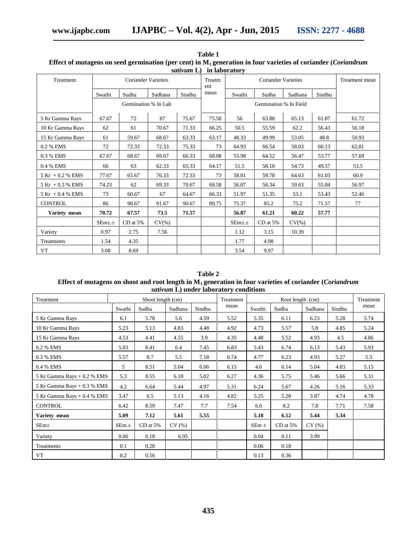| Treatment           |              | <b>Coriander Varieties</b> |           |        | <u>m movimusi</u><br>Treatm<br>ent |         | Treatment mean |           |        |       |  |
|---------------------|--------------|----------------------------|-----------|--------|------------------------------------|---------|----------------|-----------|--------|-------|--|
|                     | Swathi       | Sudha                      | Sadhana   | Sindhu | mean                               | Swathi  | Sudha          | Sadhana   | Sindhu |       |  |
|                     |              | Germination % In Lab       |           |        |                                    |         |                |           |        |       |  |
| 5 Kr Gamma Rays     | 67.67        | 72                         | 87        | 75.67  | 75.58                              | 56      | 63.88          | 65.13     | 61.87  | 61.72 |  |
| 10 Kr Gamma Rays    | 62           | 61                         | 70.67     | 71.33  | 66.25                              | 50.5    | 55.59          | 62.2      | 56.43  | 56.18 |  |
| 15 Kr Gamma Rays    | 61           | 59.67                      | 68.67     | 63.33  | 63.17                              | 48.33   | 49.99          | 53.05     | 48.8   | 50.93 |  |
| 0.2 % EMS           | 72           | 72.33                      | 72.33     | 75.33  | 73                                 | 64.93   | 66.54          | 58.03     | 60.13  | 62.81 |  |
| 0.3 % EMS           | 67.67        | 68.67                      | 69.67     | 66.33  | 68.08                              | 55.98   | 64.52          | 56.47     | 53.77  | 57.69 |  |
| 0.4 % EMS           | 66           | 63                         | 62.33     | 65.33  | 64.17                              | 51.5    | 58.18          | 54.73     | 49.57  | 53.5  |  |
| $5$ Kr + 0.2 % EMS  | 77.67        | 65.67                      | 76.33     | 72.33  | 73                                 | 58.01   | 59.78          | 64.63     | 61.03  | 60.9  |  |
| $5$ Kr $+0.3$ % EMS | 74.23        | 62                         | 69.33     | 70.67  | 68.58                              | 56.07   | 56.34          | 59.63     | 55.84  | 56.97 |  |
| $5$ Kr $+0.4$ % EMS | 73           | 60.67                      | 67        | 64.67  | 66.33                              | 51.97   | 51.35          | 53.1      | 53.43  | 52.46 |  |
| <b>CONTROL</b>      | 86           | 90.67                      | 91.67     | 90.67  | 89.75                              | 75.37   | 85.2           | 75.2      | 71.57  | 77    |  |
| Variety mean        | 70.72        | 67.57                      | 73.5      | 71.57  |                                    | 56.87   | 61.21          | 60.22     | 57.77  |       |  |
|                     | $SEm\pm \pm$ | $CD$ at $5%$               | $CV(\% )$ |        |                                    | $SEm++$ | $CD$ at $5\%$  | $CV(\% )$ |        |       |  |
| Variety             | 0.97         | 2.75                       | 7.56      |        |                                    | 1.12    | 3.15           | 10.39     |        |       |  |
| Treatments          | 1.54         | 4.35                       |           |        |                                    | 1.77    | 4.98           |           |        |       |  |
| VT                  | 3.08         | 8.69                       |           |        |                                    | 3.54    | 9.97           |           |        |       |  |

**Table 1 Effect of mutagens on seed germination (per cent) in M<sup>1</sup> generation in four varieties of coriander (***Coriandrum sativum* **L) in laboratory**

#### **Table 2 Effect of mutagens on shoot and root length in M<sup>1</sup> generation in four varieties of coriander (***Coriandrum sativum* **L) under laboratory conditions**

| Treatment                   | Shoot length (cm) |            |         |        | Treatment<br>Root length (cm) |           |            |         |        | Treatment |
|-----------------------------|-------------------|------------|---------|--------|-------------------------------|-----------|------------|---------|--------|-----------|
|                             | Swathi            | Sudha      | Sadhana | Sindhu | mean                          | Swathi    | Sudha      | Sadhana | Sindhu | mean      |
| 5 Kr Gamma Rays             | 6.1               | 5.78       | 5.6     | 4.59   | 5.52                          | 5.35      | 6.11       | 6.23    | 5.28   | 5.74      |
| 10 Kr Gamma Rays            | 5.23              | 5.13       | 4.83    | 4.48   | 4.92                          | 4.73      | 5.57       | 5.8     | 4.85   | 5.24      |
| 15 Kr Gamma Rays            | 4.53              | 4.41       | 4.55    | 3.9    | 4.35                          | 4.48      | 5.52       | 4.93    | 4.5    | 4.86      |
| 0.2 % EMS                   | 5.03              | 8.41       | 6.4     | 7.45   | 6.83                          | 5.43      | 6.74       | 6.13    | 5.43   | 5.93      |
| 0.3 % EMS                   | 5.57              | 8.7        | 5.5     | 7.18   | 6.74                          | 4.77      | 6.23       | 4.93    | 5.27   | 5.3       |
| 0.4 % EMS                   | 5                 | 8.51       | 5.04    | 6.06   | 6.15                          | 4.6       | 6.14       | 5.04    | 4.83   | 5.15      |
| 5 Kr Gamma Rays + 0.2 % EMS | 5.3               | 8.55       | 6.18    | 5.02   | 6.27                          | 4.36      | 5.75       | 5.46    | 5.66   | 5.31      |
| 5 Kr Gamma Rays + 0.3 % EMS | 4.2               | 6.64       | 5.44    | 4.97   | 5.31                          | 6.24      | 5.67       | 4.26    | 5.16   | 5.33      |
| 5 Kr Gamma Rays + 0.4 % EMS | 3.47              | 6.5        | 5.13    | 4.16   | 4.82                          | 5.25      | 5.28       | 3.87    | 4.74   | 4.78      |
| <b>CONTROL</b>              | 6.42              | 8.59       | 7.47    | 7.7    | 7.54                          | 6.6       | 8.2        | 7.8     | 7.71   | 7.58      |
| Variety mean                | 5.09              | 7.12       | 5.61    | 5.55   |                               | 5.18      | 6.12       | 5.44    | 5.34   |           |
| $SEm\pm$                    | SEm.±             | $CD$ at 5% | CV(%)   |        |                               | SEm $\pm$ | $CD$ at 5% | CV(%)   |        |           |
| Variety                     | 0.06              | 0.18       | 6.95    |        |                               | 0.04      | 0.11       | 3.99    |        |           |
| Treatments                  | 0.1               | 0.28       |         |        |                               | 0.06      | 0.18       |         |        |           |
| VT                          | 0.2               | 0.56       |         |        |                               | 0.13      | 0.36       |         |        |           |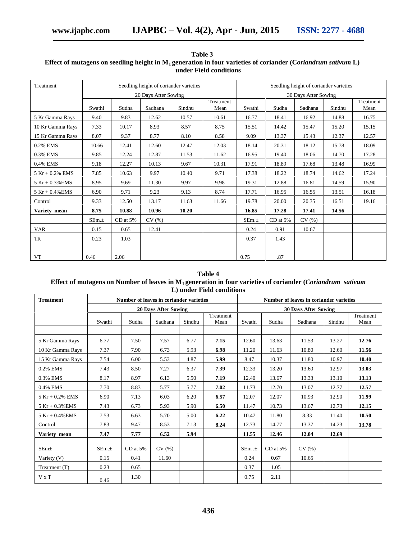| Treatment          | Seedling height of coriander varieties |              |         |        |                   |        | Seedling height of coriander varieties |         |        |                   |  |  |  |
|--------------------|----------------------------------------|--------------|---------|--------|-------------------|--------|----------------------------------------|---------|--------|-------------------|--|--|--|
|                    | 20 Days After Sowing                   |              |         |        |                   |        | 30 Days After Sowing                   |         |        |                   |  |  |  |
|                    | Swathi                                 | Sudha        | Sadhana | Sindhu | Treatment<br>Mean | Swathi | Sudha                                  | Sadhana | Sindhu | Treatment<br>Mean |  |  |  |
| 5 Kr Gamma Rays    | 9.40                                   | 9.83         | 12.62   | 10.57  | 10.61             | 16.77  | 18.41                                  | 16.92   | 14.88  | 16.75             |  |  |  |
| 10 Kr Gamma Rays   | 7.33                                   | 10.17        | 8.93    | 8.57   | 8.75              | 15.51  | 14.42                                  | 15.47   | 15.20  | 15.15             |  |  |  |
| 15 Kr Gamma Rays   | 8.07                                   | 9.37         | 8.77    | 8.10   | 8.58              | 9.09   | 13.37                                  | 15.43   | 12.37  | 12.57             |  |  |  |
| 0.2% EMS           | 10.66                                  | 12.41        | 12.60   | 12.47  | 12.03             | 18.14  | 20.31                                  | 18.12   | 15.78  | 18.09             |  |  |  |
| 0.3% EMS           | 9.85                                   | 12.24        | 12.87   | 11.53  | 11.62             | 16.95  | 19.40                                  | 18.06   | 14.70  | 17.28             |  |  |  |
| 0.4% EMS           | 9.18                                   | 12.27        | 10.13   | 9.67   | 10.31             | 17.91  | 18.89                                  | 17.68   | 13.48  | 16.99             |  |  |  |
| $5$ Kr + 0.2% EMS  | 7.85                                   | 10.63        | 9.97    | 10.40  | 9.71              | 17.38  | 18.22                                  | 18.74   | 14.62  | 17.24             |  |  |  |
| $5 Kr + 0.3\% EMS$ | 8.95                                   | 9.69         | 11.30   | 9.97   | 9.98              | 19.31  | 12.88                                  | 16.81   | 14.59  | 15.90             |  |  |  |
| $5 Kr + 0.4\% EMS$ | 6.90                                   | 9.71         | 9.23    | 9.13   | 8.74              | 17.71  | 16.95                                  | 16.55   | 13.51  | 16.18             |  |  |  |
| Control            | 9.33                                   | 12.50        | 13.17   | 11.63  | 11.66             | 19.78  | 20.00                                  | 20.35   | 16.51  | 19.16             |  |  |  |
| Variety mean       | 8.75                                   | 10.88        | 10.96   | 10.20  |                   | 16.85  | 17.28                                  | 17.41   | 14.56  |                   |  |  |  |
|                    | SEm.±                                  | $CD$ at $5%$ | CV(%)   |        |                   | SEm.±  | $CD$ at $5\%$                          | CV(%)   |        |                   |  |  |  |
| VAR                | 0.15                                   | 0.65         | 12.41   |        |                   | 0.24   | 0.91                                   | 10.67   |        |                   |  |  |  |
| TR                 | 0.23                                   | 1.03         |         |        |                   | 0.37   | 1.43                                   |         |        |                   |  |  |  |
|                    |                                        |              |         |        |                   |        |                                        |         |        |                   |  |  |  |
| VT                 | 0.46                                   | 2.06         |         |        |                   | 0.75   | .87                                    |         |        |                   |  |  |  |

**Table 3 Effect of mutagens on seedling height in M<sup>1</sup> generation in four varieties of coriander (C***oriandrum sativum* **L) under Field conditions**

## **Table 4 Effect of mutagens on Number of leaves in M<sup>1</sup> generation in four varieties of coriander (***Coriandrum sativum* **L) under Field conditions**

| <b>Treatment</b>     | Number of leaves in coriander varieties |              |                             |        |                   |                             | Number of leaves in coriander varieties |         |        |                   |  |  |  |
|----------------------|-----------------------------------------|--------------|-----------------------------|--------|-------------------|-----------------------------|-----------------------------------------|---------|--------|-------------------|--|--|--|
|                      |                                         |              | <b>20 Days After Sowing</b> |        |                   | <b>30 Days After Sowing</b> |                                         |         |        |                   |  |  |  |
|                      | Swathi                                  | Sudha        | Sadhana                     | Sindhu | Treatment<br>Mean | Swathi                      | Sudha                                   | Sadhana | Sindhu | Treatment<br>Mean |  |  |  |
|                      |                                         |              |                             |        |                   |                             |                                         |         |        |                   |  |  |  |
| 5 Kr Gamma Rays      | 6.77                                    | 7.50         | 7.57                        | 6.77   | 7.15              | 12.60                       | 13.63                                   | 11.53   | 13.27  | 12.76             |  |  |  |
| 10 Kr Gamma Rays     | 7.37                                    | 7.90         | 6.73                        | 5.93   | 6.98              | 11.20                       | 11.63                                   | 10.80   | 12.60  | 11.56             |  |  |  |
| 15 Kr Gamma Rays     | 7.54                                    | 6.00         | 5.53                        | 4.87   | 5.99              | 8.47                        | 10.37                                   | 11.80   | 10.97  | 10.40             |  |  |  |
| 0.2% EMS             | 7.43                                    | 8.50         | 7.27                        | 6.37   | 7.39              | 12.33                       | 13.20                                   | 13.60   | 12.97  | 13.03             |  |  |  |
| 0.3% EMS             | 8.17                                    | 8.97         | 6.13                        | 5.50   | 7.19              | 12.40                       | 13.67                                   | 13.33   | 13.10  | 13.13             |  |  |  |
| 0.4% EMS             | 7.70                                    | 8.83         | 5.77                        | 5.77   | 7.02              | 11.73                       | 12.70                                   | 13.07   | 12.77  | 12.57             |  |  |  |
| $5 Kr + 0.2% EMS$    | 6.90                                    | 7.13         | 6.03                        | 6.20   | 6.57              | 12.07                       | 12.07                                   | 10.93   | 12.90  | 11.99             |  |  |  |
| $5$ Kr + $0.3\%$ EMS | 7.43                                    | 6.73         | 5.93                        | 5.90   | 6.50              | 11.47                       | 10.73                                   | 13.67   | 12.73  | 12.15             |  |  |  |
| $5$ Kr + 0.4% EMS    | 7.53                                    | 6.63         | 5.70                        | 5.00   | 6.22              | 10.47                       | 11.80                                   | 8.33    | 11.40  | 10.50             |  |  |  |
| Control              | 7.83                                    | 9.47         | 8.53                        | 7.13   | 8.24              | 12.73                       | 14.77                                   | 13.37   | 14.23  | 13.78             |  |  |  |
| Variety mean         | 7.47                                    | 7.77         | 6.52                        | 5.94   |                   | 11.55                       | 12.46                                   | 12.04   | 12.69  |                   |  |  |  |
| SEm <sub>±</sub>     | SEm.±                                   | $CD$ at $5%$ | CV(%)                       |        |                   | $SEm \pm$                   | $CD$ at $5\%$                           | CV(%)   |        |                   |  |  |  |
| Variety $(V)$        | 0.15                                    | 0.41         | 11.60                       |        |                   | 0.24                        | 0.67                                    | 10.65   |        |                   |  |  |  |
| Treatment (T)        | 0.23                                    | 0.65         |                             |        |                   | 0.37                        | 1.05                                    |         |        |                   |  |  |  |
| $V \times T$         | 0.46                                    | 1.30         |                             |        |                   | 0.75                        | 2.11                                    |         |        |                   |  |  |  |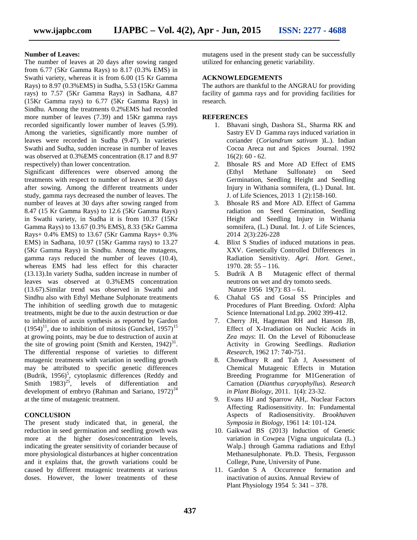## **Number of Leaves:**

The number of leaves at 20 days after sowing ranged from 6.77 (5Kr Gamma Rays) to 8.17 (0.3% EMS) in Swathi variety, whereas it is from 6.00 (15 Kr Gamma Rays) to 8.97 (0.3%EMS) in Sudha, 5.53 (15Kr Gamma rays) to 7.57 (5Kr Gamma Rays) in Sadhana, 4.87 (15Kr Gamma rays) to 6.77 (5Kr Gamma Rays) in Sindhu. Among the treatments 0.2%EMS had recorded more number of leaves (7.39) and 15Kr gamma rays recorded significantly lower number of leaves (5.99). Among the varieties, significantly more number of leaves were recorded in Sudha (9.47). In varieties Swathi and Sudha, sudden increase in number of leaves was observed at 0.3%EMS concentration (8.17 and 8.97 respectively) than lower concentration.

Significant differences were observed among the treatments with respect to number of leaves at 30 days after sowing. Among the different treatments under study, gamma rays decreased the number of leaves. The number of leaves at 30 days after sowing ranged from 3. 8.47 (15 Kr Gamma Rays) to 12.6 (5Kr Gamma Rays) in Swathi variety, in Sudha it is from 10.37 (15Kr Gamma Rays) to 13.67 (0.3% EMS), 8.33 (5Kr Gamma Rays+ 0.4% EMS) to 13.67 (5Kr Gamma Rays+ 0.3% EMS) in Sadhana, 10.97 (15Kr Gamma rays) to 13.27 (5Kr Gamma Rays) in Sindhu. Among the mutagens, gamma rays reduced the number of leaves (10.4), whereas EMS had less effect for this character (13.13).In variety Sudha, sudden increase in number of leaves was observed at 0.3%EMS concentration (13.67).Similar trend was observed in Swathi and Sindhu also with Ethyl Methane Sulphonate treatments The inhibition of seedling growth due to mutagenic treatments, might be due to the auxin destruction or due to inhibition of auxin synthesis as reported by Gardon  $(1954)^{11}$ , due to inhibition of mitosis (Gunckel, 1957)<sup>15</sup> at growing points, may be due to destruction of auxin at the site of growing point (Smith and Kersten,  $1942)^{31}$ . The differential response of varieties to different mutagenic treatments with variation in seedling growth may be attributed to specific genetic differences (Budrik, 1956)<sup>5</sup>, cytoplasmic differences (Reddy and Smith  $1983)^{25}$ , levels of differentiation and development of embryo (Rahman and Sariano, 1972)<sup>24</sup> at the time of mutagenic treatment.

#### **CONCLUSION**

The present study indicated that, in general, the reduction in seed germination and seedling growth was more at the higher doses/concentration levels, indicating the greater sensitivity of coriander because of more physiological disturbances at higher concentration and it explains that, the growth variations could be caused by different mutagenic treatments at various doses. However, the lower treatments of these mutagens used in the present study can be successfully utilized for enhancing genetic variability.

#### **ACKNOWLEDGEMENTS**

The authors are thankful to the ANGRAU for providing facility of gamma rays and for providing facilities for research.

#### **REFERENCES**

- 1. Bhavani singh, Dashora SL, Sharma RK and Sastry EV D Gamma rays induced variation in coriander (*Coriandrum sativum* )L.). Indian Cocoa Areca nut and Spices Journal. 1992  $16(2): 60 - 62.$
- 2. Bhosale RS and More AD Effect of EMS (Ethyl Methane Sulfonate) on Seed Germination, Seedling Height and Seedling Injury in Withania somnifera, (L.) Dunal. Int. J. of Life Sciences, 2013 1 (2):158-160.
- 3. Bhosale RS and More AD. Effect of Gamma radiation on Seed Germination, Seedling Height and Seedling Injury in Withania somnifera, (L.) Dunal. Int. J. of Life Sciences, 2014 2(3):226-228
- 4. Blixt S Studies of induced mutations in peas. XXV. Genetically Controlled Differences in Radiation Sensitivity. *Agri. Hort. Genet.*, 1970. 28: 55 – 116.
- 5. Budrik A B Mutagenic effect of thermal neutrons on wet and dry tomoto seeds. Nature 1956 19(7): 83 – 61.
- 6. Chahal GS and Gosal SS Principles and Procedures of Plant Breeding. Oxford: Alpha Science International Ltd.pp. 2002 399-412.
- 7. Cherry JH, Hageman RH and Hanson JB, Effect of X-Irradiation on Nucleic Acids in *Zea mays*: II. On the Level of Ribonuclease Activity in Growing Seedlings. *Radiation Research,* 1962 17: 740-751.
- 8. Chowdhury R and Tah J, Assessment of Chemical Mutagenic Effects in Mutation Breeding Programme for M1Generation of Carnation (*Dianthus caryophyllus*). *Research in Plant Biology*, 2011. 1(4): 23-32.
- 9. Evans HJ and Sparrow AH,. Nuclear Factors Affecting Radiosensitivity. In: Fundamental Aspects of Radiosensitivity. *Brookhaven Symposia in Biology,* 1961 14: 101-124.
- 10. Gaikwad BS (2013) Induction of Genetic variation in Cowpea [Vigna unguiculata (L.) Walp.] through Gamma radiations and Ethyl Methanesulphonate. Ph.D. Thesis, Fergusson College, Pune, University of Pune.
- 11. Gardon S A Occurrence formation and inactivation of auxins. Annual Review of Plant Physiology 1954 5: 341 – 378.